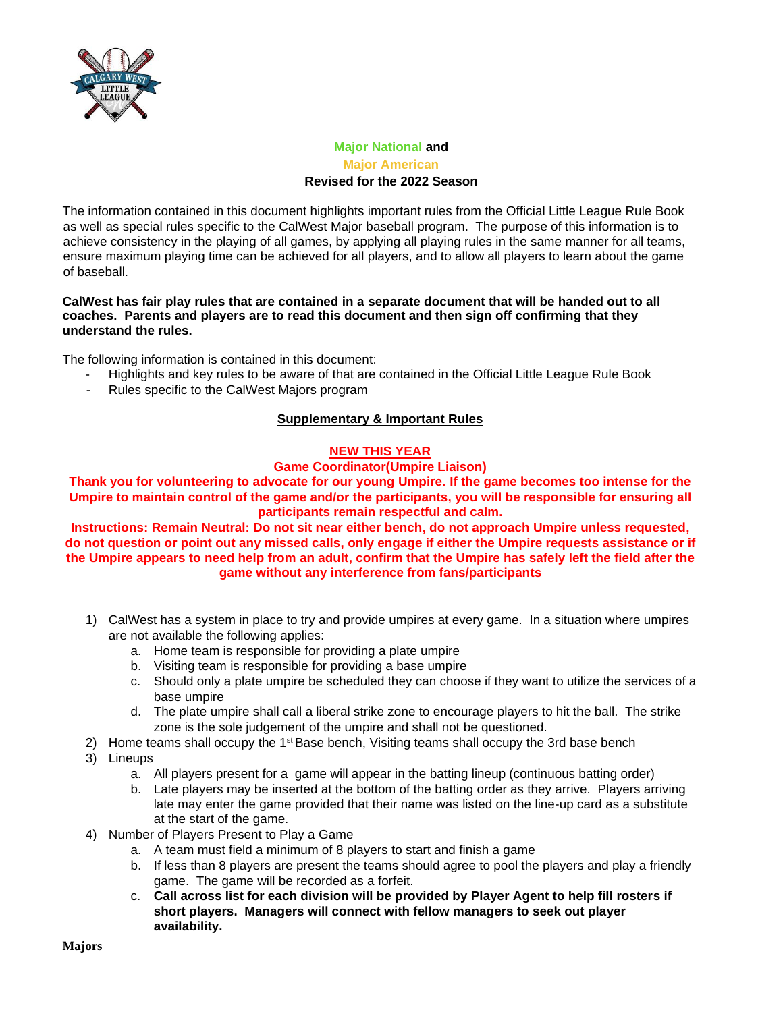

## **Major National and Major American Revised for the 2022 Season**

The information contained in this document highlights important rules from the Official Little League Rule Book as well as special rules specific to the CalWest Major baseball program. The purpose of this information is to achieve consistency in the playing of all games, by applying all playing rules in the same manner for all teams, ensure maximum playing time can be achieved for all players, and to allow all players to learn about the game of baseball.

### **CalWest has fair play rules that are contained in a separate document that will be handed out to all coaches. Parents and players are to read this document and then sign off confirming that they understand the rules.**

The following information is contained in this document:

- Highlights and key rules to be aware of that are contained in the Official Little League Rule Book
- Rules specific to the CalWest Majors program

## **Supplementary & Important Rules**

#### **NEW THIS YEAR**

#### **Game Coordinator(Umpire Liaison)**

**Thank you for volunteering to advocate for our young Umpire. If the game becomes too intense for the Umpire to maintain control of the game and/or the participants, you will be responsible for ensuring all participants remain respectful and calm.**

**Instructions: Remain Neutral: Do not sit near either bench, do not approach Umpire unless requested, do not question or point out any missed calls, only engage if either the Umpire requests assistance or if the Umpire appears to need help from an adult, confirm that the Umpire has safely left the field after the game without any interference from fans/participants**

- 1) CalWest has a system in place to try and provide umpires at every game. In a situation where umpires are not available the following applies:
	- a. Home team is responsible for providing a plate umpire
	- b. Visiting team is responsible for providing a base umpire
	- c. Should only a plate umpire be scheduled they can choose if they want to utilize the services of a base umpire
	- d. The plate umpire shall call a liberal strike zone to encourage players to hit the ball. The strike zone is the sole judgement of the umpire and shall not be questioned.
- 2) Home teams shall occupy the  $1<sup>st</sup>$  Base bench, Visiting teams shall occupy the 3rd base bench
- 3) Lineups
	- a. All players present for a game will appear in the batting lineup (continuous batting order)
	- b. Late players may be inserted at the bottom of the batting order as they arrive. Players arriving late may enter the game provided that their name was listed on the line-up card as a substitute at the start of the game.
- 4) Number of Players Present to Play a Game
	- a. A team must field a minimum of 8 players to start and finish a game
	- b. If less than 8 players are present the teams should agree to pool the players and play a friendly game. The game will be recorded as a forfeit.
	- c. **Call across list for each division will be provided by Player Agent to help fill rosters if short players. Managers will connect with fellow managers to seek out player availability.**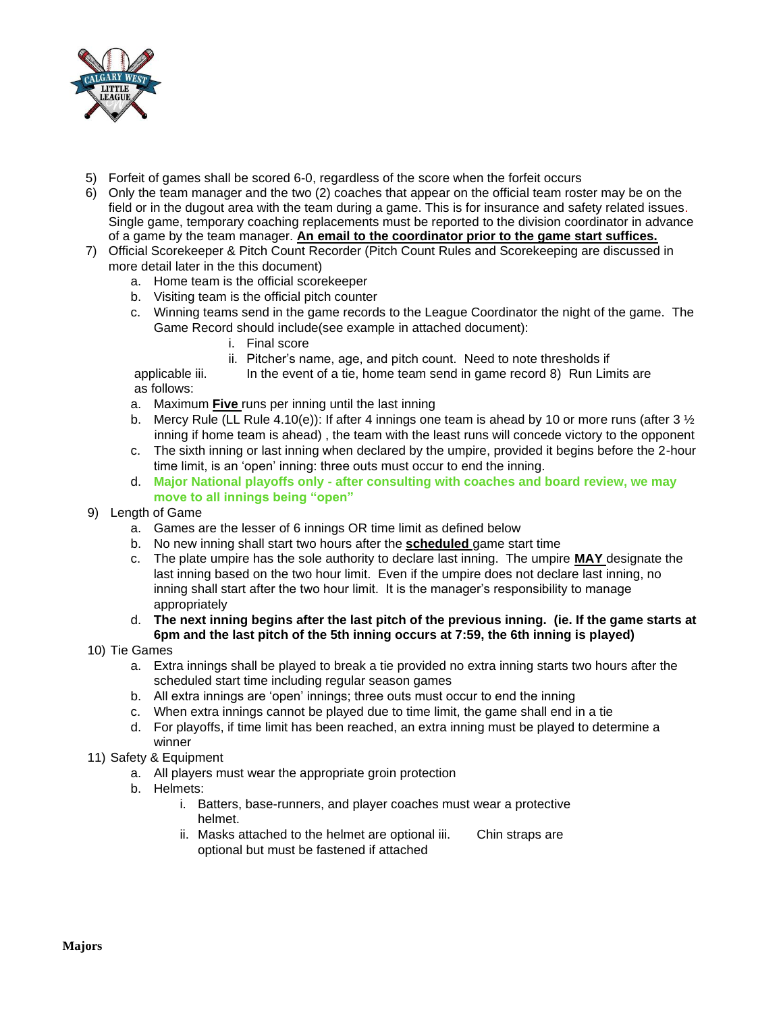

- 5) Forfeit of games shall be scored 6-0, regardless of the score when the forfeit occurs
- 6) Only the team manager and the two (2) coaches that appear on the official team roster may be on the field or in the dugout area with the team during a game. This is for insurance and safety related issues. Single game, temporary coaching replacements must be reported to the division coordinator in advance of a game by the team manager. **An email to the coordinator prior to the game start suffices.**
- 7) Official Scorekeeper & Pitch Count Recorder (Pitch Count Rules and Scorekeeping are discussed in more detail later in the this document)
	- a. Home team is the official scorekeeper
	- b. Visiting team is the official pitch counter
	- c. Winning teams send in the game records to the League Coordinator the night of the game. The Game Record should include(see example in attached document):
		- i. Final score
		- ii. Pitcher's name, age, and pitch count. Need to note thresholds if

applicable iii. In the event of a tie, home team send in game record 8) Run Limits are as follows:

- a. Maximum **Five** runs per inning until the last inning
- b. Mercy Rule (LL Rule 4.10(e)): If after 4 innings one team is ahead by 10 or more runs (after 3  $\frac{1}{2}$ inning if home team is ahead) , the team with the least runs will concede victory to the opponent
- c. The sixth inning or last inning when declared by the umpire, provided it begins before the 2-hour time limit, is an 'open' inning: three outs must occur to end the inning.
- d. **Major National playoffs only - after consulting with coaches and board review, we may move to all innings being "open"**
- 9) Length of Game
	- a. Games are the lesser of 6 innings OR time limit as defined below
	- b. No new inning shall start two hours after the **scheduled** game start time
	- c. The plate umpire has the sole authority to declare last inning. The umpire **MAY** designate the last inning based on the two hour limit. Even if the umpire does not declare last inning, no inning shall start after the two hour limit. It is the manager's responsibility to manage appropriately
	- d. **The next inning begins after the last pitch of the previous inning. (ie. If the game starts at 6pm and the last pitch of the 5th inning occurs at 7:59, the 6th inning is played)**
- 10) Tie Games
	- a. Extra innings shall be played to break a tie provided no extra inning starts two hours after the scheduled start time including regular season games
	- b. All extra innings are 'open' innings; three outs must occur to end the inning
	- c. When extra innings cannot be played due to time limit, the game shall end in a tie
	- d. For playoffs, if time limit has been reached, an extra inning must be played to determine a winner
- 11) Safety & Equipment
	- a. All players must wear the appropriate groin protection
	- b. Helmets:
		- i. Batters, base-runners, and player coaches must wear a protective helmet.
		- ii. Masks attached to the helmet are optional iii. Chin straps are optional but must be fastened if attached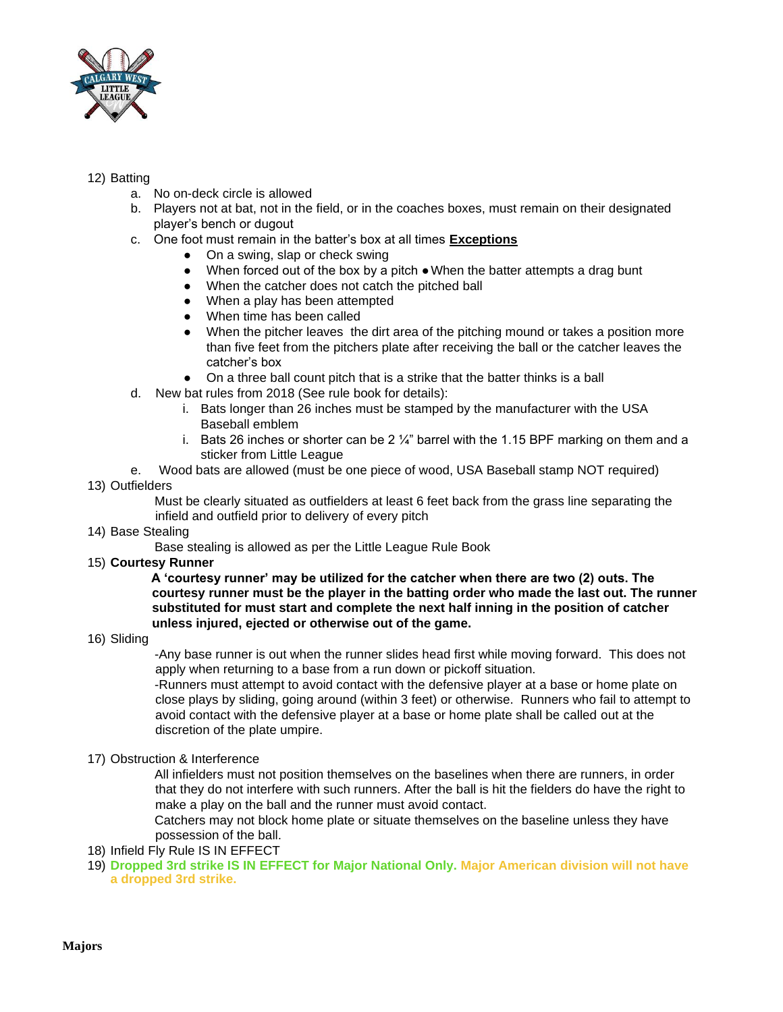

## 12) Batting

- a. No on-deck circle is allowed
- b. Players not at bat, not in the field, or in the coaches boxes, must remain on their designated player's bench or dugout
- c. One foot must remain in the batter's box at all times **Exceptions**
	- On a swing, slap or check swing
	- When forced out of the box by a pitch ●When the batter attempts a drag bunt
	- When the catcher does not catch the pitched ball
	- When a play has been attempted
	- When time has been called
	- When the pitcher leaves the dirt area of the pitching mound or takes a position more than five feet from the pitchers plate after receiving the ball or the catcher leaves the catcher's box
	- On a three ball count pitch that is a strike that the batter thinks is a ball
- d. New bat rules from 2018 (See rule book for details):
	- i. Bats longer than 26 inches must be stamped by the manufacturer with the USA Baseball emblem
	- i. Bats 26 inches or shorter can be 2  $\frac{1}{4}$ " barrel with the 1.15 BPF marking on them and a sticker from Little League
- e. Wood bats are allowed (must be one piece of wood, USA Baseball stamp NOT required) 13) Outfielders
	- Must be clearly situated as outfielders at least 6 feet back from the grass line separating the infield and outfield prior to delivery of every pitch
- 14) Base Stealing
	- Base stealing is allowed as per the Little League Rule Book
- 15) **Courtesy Runner**

**A 'courtesy runner' may be utilized for the catcher when there are two (2) outs. The courtesy runner must be the player in the batting order who made the last out. The runner substituted for must start and complete the next half inning in the position of catcher unless injured, ejected or otherwise out of the game.**

16) Sliding

-Any base runner is out when the runner slides head first while moving forward. This does not apply when returning to a base from a run down or pickoff situation.

-Runners must attempt to avoid contact with the defensive player at a base or home plate on close plays by sliding, going around (within 3 feet) or otherwise. Runners who fail to attempt to avoid contact with the defensive player at a base or home plate shall be called out at the discretion of the plate umpire.

17) Obstruction & Interference

All infielders must not position themselves on the baselines when there are runners, in order that they do not interfere with such runners. After the ball is hit the fielders do have the right to make a play on the ball and the runner must avoid contact.

Catchers may not block home plate or situate themselves on the baseline unless they have possession of the ball.

- 18) Infield Fly Rule IS IN EFFECT
- 19) **Dropped 3rd strike IS IN EFFECT for Major National Only. Major American division will not have a dropped 3rd strike.**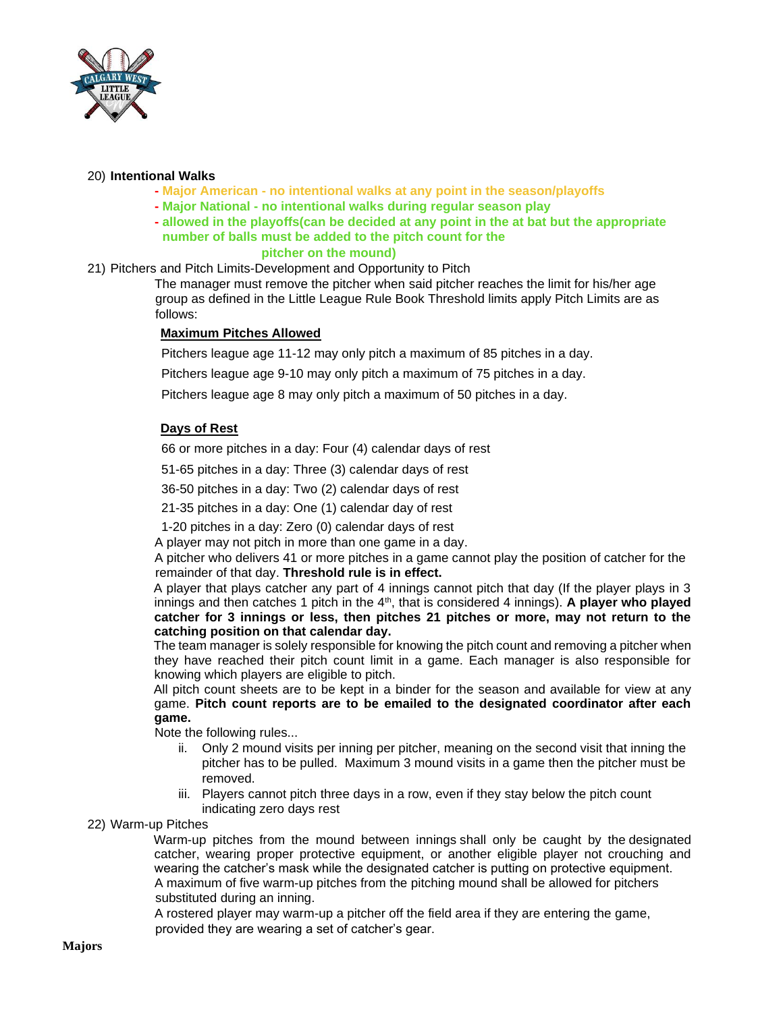

#### 20) **Intentional Walks**

- **- Major American - no intentional walks at any point in the season/playoffs**
- **- Major National - no intentional walks during regular season play**
- **- allowed in the playoffs(can be decided at any point in the at bat but the appropriate number of balls must be added to the pitch count for the pitcher on the mound)**

## 21) Pitchers and Pitch Limits-Development and Opportunity to Pitch

The manager must remove the pitcher when said pitcher reaches the limit for his/her age group as defined in the Little League Rule Book Threshold limits apply Pitch Limits are as follows:

#### **Maximum Pitches Allowed**

Pitchers league age 11-12 may only pitch a maximum of 85 pitches in a day.

Pitchers league age 9-10 may only pitch a maximum of 75 pitches in a day.

Pitchers league age 8 may only pitch a maximum of 50 pitches in a day.

# **Days of Rest**

66 or more pitches in a day: Four (4) calendar days of rest

51-65 pitches in a day: Three (3) calendar days of rest

36-50 pitches in a day: Two (2) calendar days of rest

21-35 pitches in a day: One (1) calendar day of rest

1-20 pitches in a day: Zero (0) calendar days of rest

A player may not pitch in more than one game in a day.

A pitcher who delivers 41 or more pitches in a game cannot play the position of catcher for the remainder of that day. **Threshold rule is in effect.**

A player that plays catcher any part of 4 innings cannot pitch that day (If the player plays in 3 innings and then catches 1 pitch in the 4<sup>th</sup>, that is considered 4 innings). A player who played **catcher for 3 innings or less, then pitches 21 pitches or more, may not return to the catching position on that calendar day.**

The team manager is solely responsible for knowing the pitch count and removing a pitcher when they have reached their pitch count limit in a game. Each manager is also responsible for knowing which players are eligible to pitch.

All pitch count sheets are to be kept in a binder for the season and available for view at any game. **Pitch count reports are to be emailed to the designated coordinator after each game.**

Note the following rules...

- ii. Only 2 mound visits per inning per pitcher, meaning on the second visit that inning the pitcher has to be pulled. Maximum 3 mound visits in a game then the pitcher must be removed.
- iii. Players cannot pitch three days in a row, even if they stay below the pitch count indicating zero days rest

22) Warm-up Pitches

Warm-up pitches from the mound between innings shall only be caught by the designated catcher, wearing proper protective equipment, or another eligible player not crouching and wearing the catcher's mask while the designated catcher is putting on protective equipment. A maximum of five warm-up pitches from the pitching mound shall be allowed for pitchers substituted during an inning.

A rostered player may warm-up a pitcher off the field area if they are entering the game, provided they are wearing a set of catcher's gear.